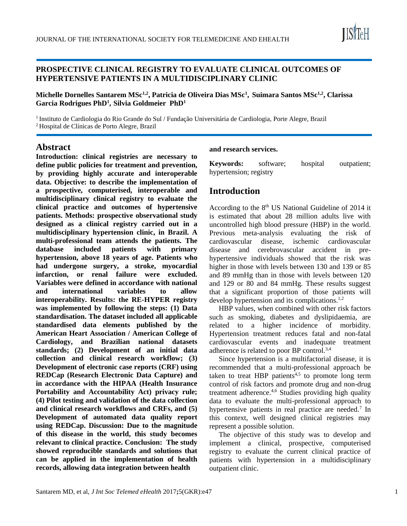

### **PROSPECTIVE CLINICAL REGISTRY TO EVALUATE CLINICAL OUTCOMES OF HYPERTENSIVE PATIENTS IN A MULTIDISCIPLINARY CLINIC**

**Michelle Dornelles Santarem MSc1,2, Patricia de Oliveira Dias MSc<sup>1</sup> , Suimara Santos MSc1,2, Clarissa Garcia Rodrigues PhD<sup>1</sup> , Silvia Goldmeier PhD<sup>1</sup>**

<sup>1</sup>Instituto de Cardiologia do Rio Grande do Sul / Fundação Universitária de Cardiologia, Porte Alegre, Brazil <sup>2</sup>Hospital de Clínicas de Porto Alegre, Brazil

### **Abstract**

**Introduction: clinical registries are necessary to define public policies for treatment and prevention, by providing highly accurate and interoperable data. Objective: to describe the implementation of a prospective, computerised, interoperable and multidisciplinary clinical registry to evaluate the clinical practice and outcomes of hypertensive patients. Methods: prospective observational study designed as a clinical registry carried out in a multidisciplinary hypertension clinic, in Brazil. A multi-professional team attends the patients. The database included patients with primary hypertension, above 18 years of age. Patients who had undergone surgery, a stroke, myocardial infarction, or renal failure were excluded. Variables were defined in accordance with national and international variables to allow interoperability. Results: the RE-HYPER registry was implemented by following the steps: (1) Data standardisation. The dataset included all applicable standardised data elements published by the American Heart Association / American College of Cardiology, and Brazilian national datasets standards; (2) Development of an initial data collection and clinical research workflow; (3) Development of electronic case reports (CRF) using REDCap (Research Electronic Data Capture) and in accordance with the HIPAA (Health Insurance Portability and Accountability Act) privacy rule; (4) Pilot testing and validation of the data collection and clinical research workflows and CRFs, and (5) Development of automated data quality report using REDCap. Discussion: Due to the magnitude of this disease in the world, this study becomes relevant to clinical practice. Conclusion: The study showed reproducible standards and solutions that can be applied in the implementation of health records, allowing data integration between health**

#### **and research services.**

**Keywords:** software; hospital outpatient; hypertension; registry

# **Introduction**

According to the 8th US National Guideline of 2014 it is estimated that about 28 million adults live with uncontrolled high blood pressure (HBP) in the world. Previous meta-analysis evaluating the risk of cardiovascular disease, ischemic cardiovascular disease and cerebrovascular accident in prehypertensive individuals showed that the risk was higher in those with levels between 130 and 139 or 85 and 89 mmHg than in those with levels between 120 and 129 or 80 and 84 mmHg. These results suggest that a significant proportion of those patients will develop hypertension and its complications.1,2

HBP values, when combined with other risk factors such as smoking, diabetes and dyslipidaemia, are related to a higher incidence of morbidity. Hypertension treatment reduces fatal and non-fatal cardiovascular events and inadequate treatment adherence is related to poor BP control.3,4

Since hypertension is a multifactorial disease, it is recommended that a multi-professional approach be taken to treat HBP patients<sup>4,5</sup> to promote long term control of risk factors and promote drug and non-drug treatment adherence.<sup>4,6</sup> Studies providing high quality data to evaluate the multi-professional approach to hypertensive patients in real practice are needed.<sup>7</sup> In this context, well designed clinical registries may represent a possible solution.

The objective of this study was to develop and implement a clinical, prospective, computerised registry to evaluate the current clinical practice of patients with hypertension in a multidisciplinary outpatient clinic.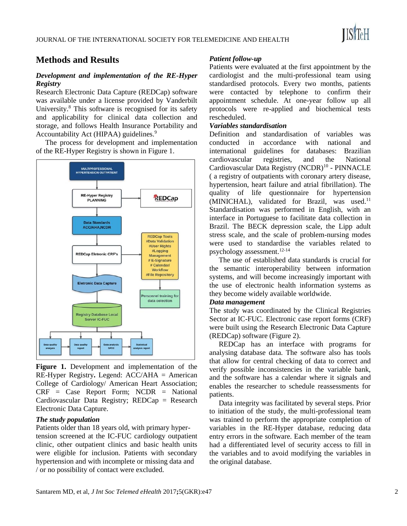# **Methods and Results**

#### *Development and implementation of the RE-Hyper Registry*

Research Electronic Data Capture (REDCap) software was available under a license provided by Vanderbilt University.<sup>8</sup> This software is recognised for its safety and applicability for clinical data collection and storage, and follows Health Insurance Portability and Accountability Act (HIPAA) guidelines.<sup>9</sup>

The process for development and implementation of the RE-Hyper Registry is shown in Figure 1.



**Figure 1.** Development and implementation of the RE-Hyper Registry**.** Legend: ACC/AHA = American College of Cardiology/ American Heart Association;  $CRF = Case Report Form; NCDR = National$ Cardiovascular Data Registry; REDCap = Research Electronic Data Capture.

#### *The study population*

Patients older than 18 years old, with primary hypertension screened at the IC-FUC cardiology outpatient clinic, other outpatient clinics and basic health units were eligible for inclusion. Patients with secondary hypertension and with incomplete or missing data and / or no possibility of contact were excluded.

#### *Patient follow-up*

Patients were evaluated at the first appointment by the cardiologist and the multi-professional team using standardised protocols. Every two months, patients were contacted by telephone to confirm their appointment schedule. At one-year follow up all protocols were re-applied and biochemical tests rescheduled.

#### *Variables standardisation*

Definition and standardisation of variables was conducted in accordance with national and international guidelines for databases: Brazilian cardiovascular registries, and the National Cardiovascular Data Registry (NCDR)<sup>10</sup> - PINNACLE ( a registry of outpatients with coronary artery disease, hypertension, heart failure and atrial fibrillation). The quality of life questionnaire for hypertension  $(MINICHAL)$ , validated for Brazil, was used.<sup>11</sup> Standardisation was performed in English, with an interface in Portuguese to facilitate data collection in Brazil. The BECK depression scale, the Lipp adult stress scale, and the scale of problem-nursing modes were used to standardise the variables related to psychology assessment.12-14

The use of established data standards is crucial for the semantic interoperability between information systems, and will become increasingly important with the use of electronic health information systems as they become widely available worldwide.

#### *Data management*

The study was coordinated by the Clinical Registries Sector at IC-FUC. Electronic case report forms (CRF) were built using the Research Electronic Data Capture (REDCap) software (Figure 2).

REDCap has an interface with programs for analysing database data. The software also has tools that allow for central checking of data to correct and verify possible inconsistencies in the variable bank, and the software has a calendar where it signals and enables the researcher to schedule reassessments for patients.

Data integrity was facilitated by several steps. Prior to initiation of the study, the multi-professional team was trained to perform the appropriate completion of variables in the RE-Hyper database, reducing data entry errors in the software. Each member of the team had a differentiated level of security access to fill in the variables and to avoid modifying the variables in the original database.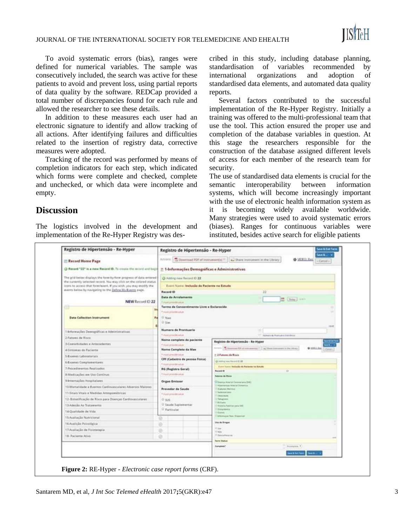

To avoid systematic errors (bias), ranges were defined for numerical variables. The sample was consecutively included, the search was active for these patients to avoid and prevent loss, using partial reports of data quality by the software. REDCap provided a total number of discrepancies found for each rule and allowed the researcher to see these details.

In addition to these measures each user had an electronic signature to identify and allow tracking of all actions. After identifying failures and difficulties related to the insertion of registry data, corrective measures were adopted.

Tracking of the record was performed by means of completion indicators for each step, which indicated which forms were complete and checked, complete and unchecked, or which data were incomplete and empty.

### **Discussion**

The logistics involved in the development and implementation of the Re-Hyper Registry was described in this study, including database planning, standardisation of variables recommended by international organizations and adoption of standardised data elements, and automated data quality reports.

Several factors contributed to the successful implementation of the Re-Hyper Registry. Initially a training was offered to the multi-professional team that use the tool. This action ensured the proper use and completion of the database variables in question. At this stage the researchers responsible for the construction of the database assigned different levels of access for each member of the research team for security.

The use of standardised data elements is crucial for the semantic interoperability between information systems, which will become increasingly important with the use of electronic health information system as it is becoming widely available worldwide. Many strategies were used to avoid systematic errors (biases). Ranges for continuous variables were instituted, besides active search for eligible patients

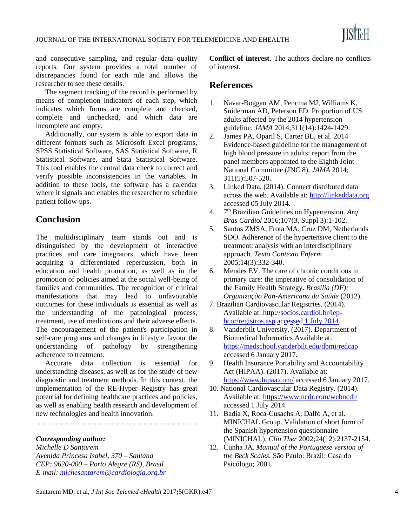

and consecutive sampling, and regular data quality reports. Our system provides a total number of discrepancies found for each rule and allows the researcher to see these details.

The segment tracking of the record is performed by means of completion indicators of each step, which indicates which forms are complete and checked, complete and unchecked, and which data are incomplete and empty.

Additionally, our system is able to export data in different formats such as Microsoft Excel programs, SPSS Statistical Software, SAS Statistical Software, R Statistical Software, and Stata Statistical Software. This tool enables the central data check to correct and verify possible inconsistencies in the variables. In addition to these tools, the software has a calendar where it signals and enables the researcher to schedule patient follow-ups.

# **Conclusion**

The multidisciplinary team stands out and is distinguished by the development of interactive practices and care integrators, which have been acquiring a differentiated repercussion, both in education and health promotion, as well as in the promotion of policies aimed at the social well-being of families and communities. The recognition of clinical manifestations that may lead to unfavourable outcomes for these individuals is essential as well as the understanding of the pathological process, treatment, use of medications and their adverse effects. The encouragement of the patient's participation in self-care programs and changes in lifestyle favour the understanding of pathology by strengthening adherence to treatment.

Accurate data collection is essential for understanding diseases, as well as for the study of new diagnostic and treatment methods. In this context, the implementation of the RE-Hyper Registry has great potential for defining healthcare practices and policies, as well as enabling health research and development of new technologies and health innovation.

…………………………………………………………

*Corresponding author:*

*Michelle D Santarem Avenida Princesa Isabel, 370 – Santana CEP: 9620-000 – Porto Alegre (RS), Brasil E-mail: [michesantarem@cardiologia.org.br](file:///C:/Users/Mars/Desktop/JISfTeH/MedeTel2017/michesantarem@cardiologia.org.br)* **Conflict of interest**. The authors declare no conflicts of interest.

# **References**

- 1. Navar-Boggan AM, Pencina MJ, Williams K, Sniderman AD, Peterson ED. Proportion of US adults affected by the 2014 hypertension guideline. *JAMA* 2014;311(14):1424-1429.
- 2. James PA, Oparil S, Carter BL, et al. 2014 Evidence-based guideline for the management of high blood pressure in adults: report from the panel members appointed to the Eighth Joint National Committee (JNC 8). *JAMA* 2014; 311(5):507-520.
- 3. Linked Data. (2014). Connect distributed data across the web. Available at: [http://linkeddata.org](https://webmail.unimedpoa.com.br/owa/redir.aspx?SURL=aDlRBTlmeszm7E58ohB_DKN1uyTKdO6GBNzi9HuXrch89eUwVz3UCGgAdAB0AHAAOgAvAC8AbABpAG4AawBlAGQAZABhAHQAYQAuAG8AcgBnAA..&URL=http%3a%2f%2flinkeddata.org) accessed 05 July 2014.
- 4. 7 th Brazilian Guidelines on Hypertension. *Arq Bras Cardiol* 2016;107(3, Suppl 3):1-102.
- 5. Santos ZMSA, Frota MA, Cruz DM, Netherlands SDO. Adherence of the hypertensive client to the treatment: analysis with an interdisciplinary approach. *Texto Contexto Enferm* 2005;14(3):332-340.
- 6. Mendes EV. The care of chronic conditions in primary care: the imperative of consolidation of the Family Health Strategy. *Brasília (DF): Organização Pan-Americana da Saúde* (2012).
- 7. Brazilian Cardiovascular Registries. (2014). Available at: http:/[/socios.cardiol.br/iep](https://webmail.unimedpoa.com.br/owa/redir.aspx?SURL=MfuWrqY7p8KDgtS1yJ0mjciPUQ7TVLIZuolu6PWqOVB89eUwVz3UCGgAdAB0AHAAOgAvAC8AcwBvAGMAaQBvAHMALgBjAGEAcgBkAGkAbwBsAC4AYgByAC8AaQBlAHAALQBoAGMAbwByAC8AcgBlAGcAaQBzAHQAcgBvAHMALgBhAHMAcAA.&URL=http%3a%2f%2fsocios.cardiol.br%2fiep-hcor%2fregistros.asp)[hcor/registros.asp](https://webmail.unimedpoa.com.br/owa/redir.aspx?SURL=MfuWrqY7p8KDgtS1yJ0mjciPUQ7TVLIZuolu6PWqOVB89eUwVz3UCGgAdAB0AHAAOgAvAC8AcwBvAGMAaQBvAHMALgBjAGEAcgBkAGkAbwBsAC4AYgByAC8AaQBlAHAALQBoAGMAbwByAC8AcgBlAGcAaQBzAHQAcgBvAHMALgBhAHMAcAA.&URL=http%3a%2f%2fsocios.cardiol.br%2fiep-hcor%2fregistros.asp) [accessed](https://webmail.unimedpoa.com.br/owa/redir.aspx?SURL=MfuWrqY7p8KDgtS1yJ0mjciPUQ7TVLIZuolu6PWqOVB89eUwVz3UCGgAdAB0AHAAOgAvAC8AcwBvAGMAaQBvAHMALgBjAGEAcgBkAGkAbwBsAC4AYgByAC8AaQBlAHAALQBoAGMAbwByAC8AcgBlAGcAaQBzAHQAcgBvAHMALgBhAHMAcAA.&URL=http%3a%2f%2fsocios.cardiol.br%2fiep-hcor%2fregistros.asp) [1 July 2014.](https://webmail.unimedpoa.com.br/owa/redir.aspx?SURL=MfuWrqY7p8KDgtS1yJ0mjciPUQ7TVLIZuolu6PWqOVB89eUwVz3UCGgAdAB0AHAAOgAvAC8AcwBvAGMAaQBvAHMALgBjAGEAcgBkAGkAbwBsAC4AYgByAC8AaQBlAHAALQBoAGMAbwByAC8AcgBlAGcAaQBzAHQAcgBvAHMALgBhAHMAcAA.&URL=http%3a%2f%2fsocios.cardiol.br%2fiep-hcor%2fregistros.asp)
- 8. Vanderbilt University. (2017). Department of Biomedical Informatics Available at: <https://medschool.vanderbilt.edu/dbmi/redcap> accessed 6 January 2017.
- 9. Health Insurance Portability and Accountability Act (HIPAA). (2017). Available at: <https://www.hipaa.com/> accessed 6 January 2017.
- 10. National Cardiovascular Data Registry. (2014). Available at: https:/[/www.ncdr.com/webncdr/](http://www.ncdr.com/webncdr/) accessed 1 July 2014.
- 11. Badia X, Roca-Cusachs A, Dalfó A, et al. MINICHAL Group. Validation of short form of the Spanish hypertension questionnaire (MINICHAL). *Clin Ther* 2002;24(12):2137-2154.
- 12. Cunha JA. *Manual of the Portuguese version of the Beck Scales.* São Paulo: Brazil: Casa do Psicólogo; 2001.